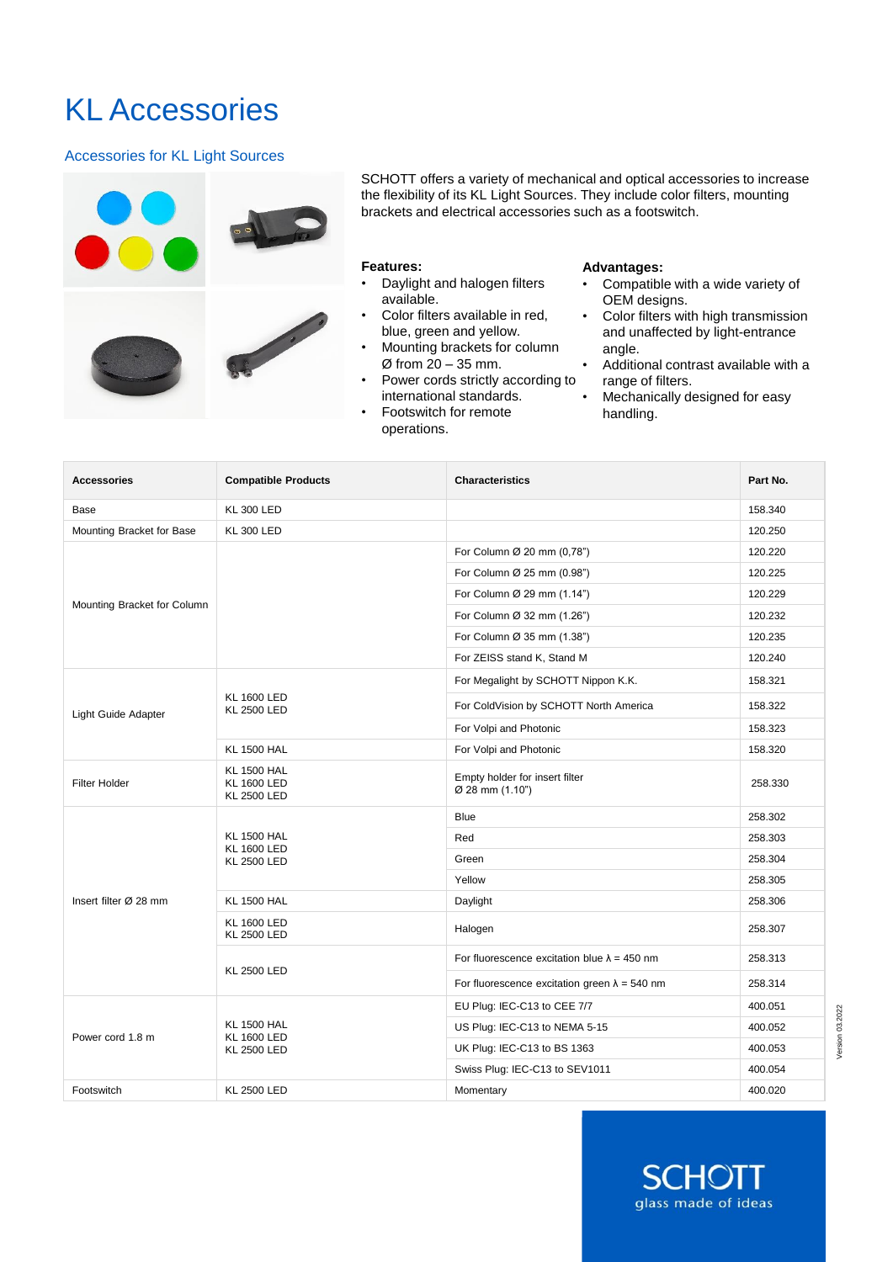# KL Accessories

# Accessories for KL Light Sources



SCHOTT offers a variety of mechanical and optical accessories to increase the flexibility of its KL Light Sources. They include color filters, mounting brackets and electrical accessories such as a footswitch.

#### **Features:**

- Daylight and halogen filters available.
- Color filters available in red, blue, green and yellow.
- Mounting brackets for column Ø from 20 – 35 mm.
- Power cords strictly according to international standards.
- Footswitch for remote operations.

#### **Advantages:**

- Compatible with a wide variety of OEM designs.
- Color filters with high transmission and unaffected by light-entrance angle.
- Additional contrast available with a range of filters.
- Mechanically designed for easy handling.

| <b>Accessories</b>                                                                    | <b>Compatible Products</b>                                     | <b>Characteristics</b>                                                                                                                                                                                                                                                                     | Part No. |
|---------------------------------------------------------------------------------------|----------------------------------------------------------------|--------------------------------------------------------------------------------------------------------------------------------------------------------------------------------------------------------------------------------------------------------------------------------------------|----------|
| Base                                                                                  | <b>KL 300 LED</b>                                              |                                                                                                                                                                                                                                                                                            | 158.340  |
| Mounting Bracket for Base                                                             | <b>KL 300 LED</b>                                              |                                                                                                                                                                                                                                                                                            | 120.250  |
|                                                                                       |                                                                | For Column Ø 20 mm (0,78")                                                                                                                                                                                                                                                                 | 120.220  |
|                                                                                       |                                                                | For Column Ø 25 mm (0.98")                                                                                                                                                                                                                                                                 | 120.225  |
| Mounting Bracket for Column                                                           |                                                                | For Column Ø 29 mm (1.14")                                                                                                                                                                                                                                                                 | 120.229  |
|                                                                                       |                                                                | For Column Ø 32 mm (1.26")                                                                                                                                                                                                                                                                 | 120.232  |
|                                                                                       |                                                                | For Column Ø 35 mm (1.38")                                                                                                                                                                                                                                                                 | 120.235  |
|                                                                                       |                                                                | For ZEISS stand K, Stand M                                                                                                                                                                                                                                                                 | 120.240  |
|                                                                                       |                                                                | For Megalight by SCHOTT Nippon K.K.                                                                                                                                                                                                                                                        | 158.321  |
| <b>KL 1600 LED</b><br><b>KL 2500 LED</b><br>Light Guide Adapter<br><b>KL 1500 HAL</b> |                                                                | For ColdVision by SCHOTT North America                                                                                                                                                                                                                                                     | 158.322  |
|                                                                                       |                                                                | For Volpi and Photonic                                                                                                                                                                                                                                                                     | 158.323  |
|                                                                                       |                                                                | For Volpi and Photonic                                                                                                                                                                                                                                                                     | 158.320  |
| <b>Filter Holder</b>                                                                  | <b>KL 1500 HAL</b><br><b>KL 1600 LED</b><br><b>KL 2500 LED</b> | Empty holder for insert filter<br>Ø 28 mm (1.10")                                                                                                                                                                                                                                          | 258.330  |
|                                                                                       | <b>KL 1500 HAL</b><br><b>KL 1600 LED</b><br><b>KL 2500 LED</b> | <b>Blue</b>                                                                                                                                                                                                                                                                                | 258.302  |
|                                                                                       |                                                                | Red                                                                                                                                                                                                                                                                                        | 258.303  |
|                                                                                       |                                                                | Green                                                                                                                                                                                                                                                                                      | 258.304  |
|                                                                                       |                                                                | Yellow<br>Daylight<br>Halogen<br>For fluorescence excitation blue $\lambda = 450$ nm<br>For fluorescence excitation green $\lambda = 540$ nm<br>EU Plug: IEC-C13 to CEE 7/7<br>US Plug: IEC-C13 to NEMA 5-15<br>UK Plug: IEC-C13 to BS 1363<br>Swiss Plug: IEC-C13 to SEV1011<br>Momentary | 258.305  |
| Insert filter $\varnothing$ 28 mm                                                     | <b>KL 1500 HAL</b>                                             |                                                                                                                                                                                                                                                                                            | 258.306  |
|                                                                                       | <b>KL 1600 LED</b><br><b>KL 2500 LED</b>                       |                                                                                                                                                                                                                                                                                            | 258.307  |
|                                                                                       | <b>KL 2500 LED</b>                                             |                                                                                                                                                                                                                                                                                            | 258.313  |
|                                                                                       |                                                                |                                                                                                                                                                                                                                                                                            | 258.314  |
|                                                                                       | <b>KL 1500 HAL</b><br><b>KL 1600 LED</b><br><b>KL 2500 LED</b> |                                                                                                                                                                                                                                                                                            | 400.051  |
| Power cord 1.8 m                                                                      |                                                                |                                                                                                                                                                                                                                                                                            | 400.052  |
|                                                                                       |                                                                |                                                                                                                                                                                                                                                                                            | 400.053  |
|                                                                                       |                                                                |                                                                                                                                                                                                                                                                                            | 400.054  |
| Footswitch                                                                            | <b>KL 2500 LED</b>                                             |                                                                                                                                                                                                                                                                                            | 400.020  |

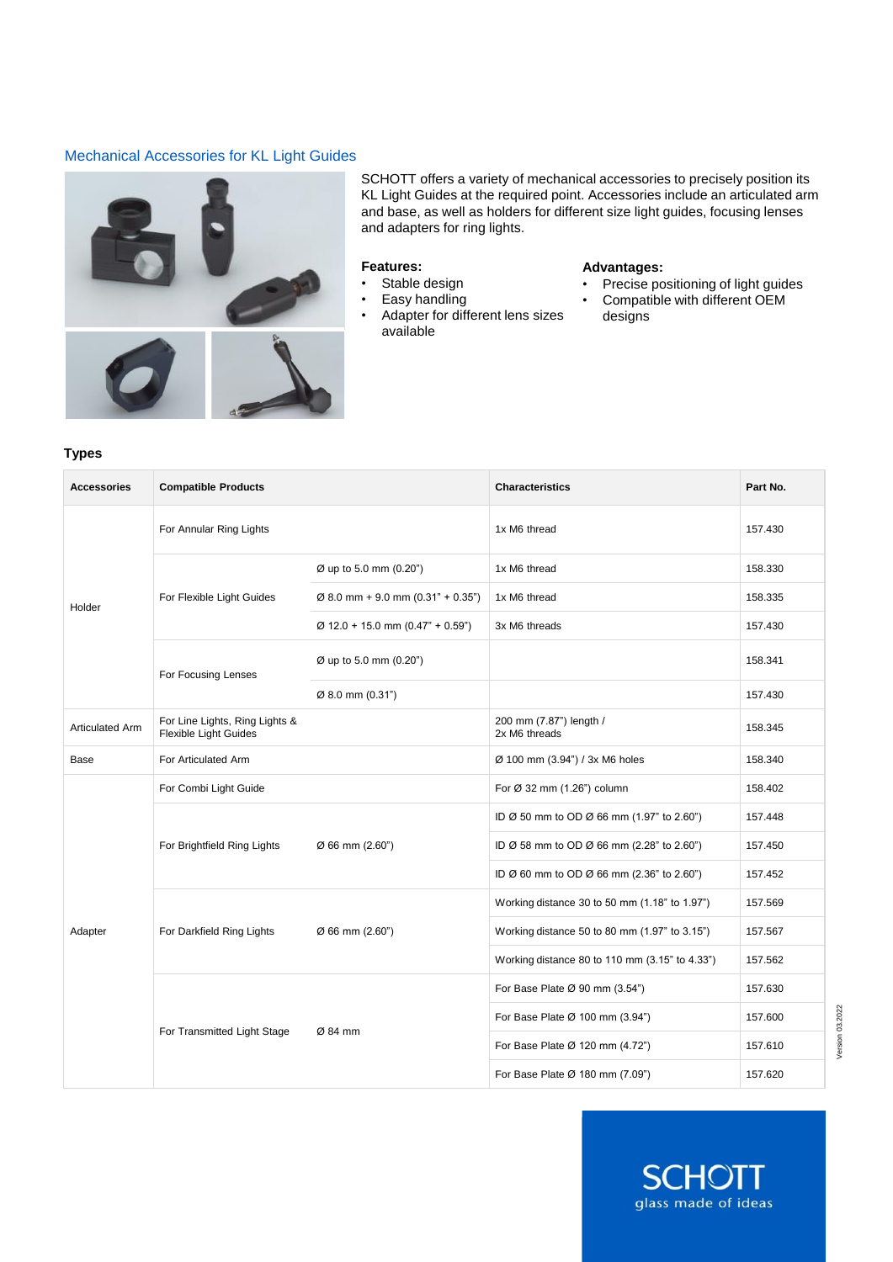## Mechanical Accessories for KL Light Guides



SCHOTT offers a variety of mechanical accessories to precisely position its KL Light Guides at the required point. Accessories include an articulated arm and base, as well as holders for different size light guides, focusing lenses and adapters for ring lights.

#### **Features:**

- Stable design
- Easy handling
- Adapter for different lens sizes available

#### **Advantages:**

- Precise positioning of light guides<br>• Compatible with different OEM
- Compatible with different OEM designs

#### **Types**

| <b>Accessories</b>     | <b>Compatible Products</b>                                     |                                               | <b>Characteristics</b>                         | Part No. |
|------------------------|----------------------------------------------------------------|-----------------------------------------------|------------------------------------------------|----------|
| Holder                 | For Annular Ring Lights                                        |                                               | 1x M6 thread                                   | 157.430  |
|                        | For Flexible Light Guides                                      | Ø up to 5.0 mm (0.20")                        | 1x M6 thread                                   | 158.330  |
|                        |                                                                | $\varnothing$ 8.0 mm + 9.0 mm (0.31" + 0.35") | 1x M6 thread                                   | 158.335  |
|                        |                                                                | $\varnothing$ 12.0 + 15.0 mm (0.47" + 0.59")  | 3x M6 threads                                  | 157.430  |
|                        | For Focusing Lenses                                            | Ø up to 5.0 mm (0.20")                        |                                                | 158.341  |
|                        |                                                                | Ø 8.0 mm (0.31")                              |                                                | 157.430  |
| <b>Articulated Arm</b> | For Line Lights, Ring Lights &<br><b>Flexible Light Guides</b> |                                               | 200 mm (7.87") length /<br>2x M6 threads       | 158.345  |
| Base                   | For Articulated Arm                                            |                                               | Ø 100 mm (3.94") / 3x M6 holes                 | 158.340  |
| Adapter                | For Combi Light Guide                                          |                                               | For Ø 32 mm (1.26") column                     | 158.402  |
|                        | For Brightfield Ring Lights                                    | Ø 66 mm (2.60")                               | ID Ø 50 mm to OD Ø 66 mm (1.97" to 2.60")      | 157.448  |
|                        |                                                                |                                               | ID Ø 58 mm to OD Ø 66 mm (2.28" to 2.60")      | 157.450  |
|                        |                                                                |                                               | ID Ø 60 mm to OD Ø 66 mm (2.36" to 2.60")      | 157.452  |
|                        | For Darkfield Ring Lights                                      | Ø 66 mm (2.60")                               | Working distance 30 to 50 mm (1.18" to 1.97")  | 157.569  |
|                        |                                                                |                                               | Working distance 50 to 80 mm (1.97" to 3.15")  | 157.567  |
|                        |                                                                |                                               | Working distance 80 to 110 mm (3.15" to 4.33") | 157.562  |
|                        | For Transmitted Light Stage                                    | Ø 84 mm                                       | For Base Plate Ø 90 mm (3.54")                 | 157.630  |
|                        |                                                                |                                               | For Base Plate Ø 100 mm (3.94")                | 157.600  |
|                        |                                                                |                                               | For Base Plate Ø 120 mm (4.72")                | 157.610  |
|                        |                                                                |                                               | For Base Plate Ø 180 mm (7.09")                | 157.620  |



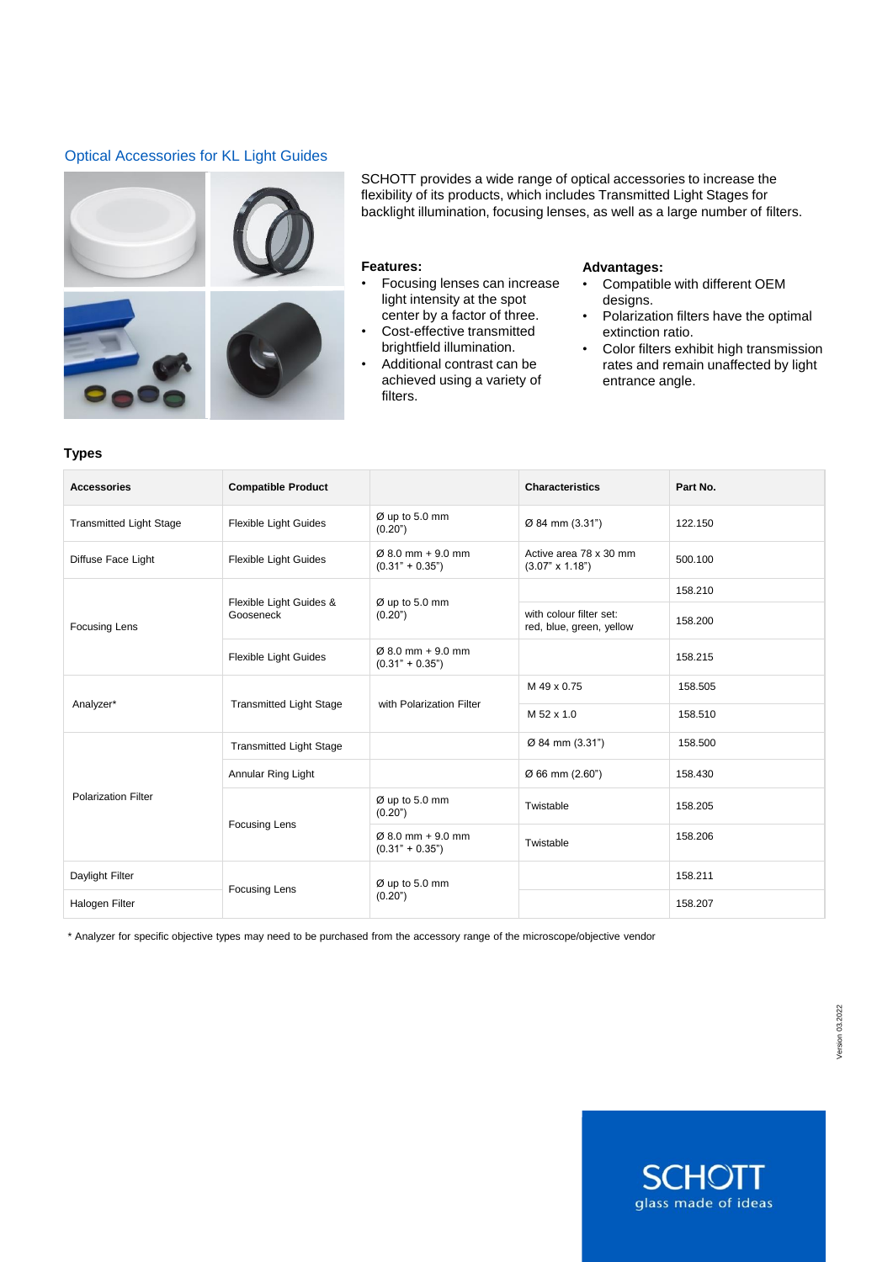# Optical Accessories for KL Light Guides



SCHOTT provides a wide range of optical accessories to increase the flexibility of its products, which includes Transmitted Light Stages for backlight illumination, focusing lenses, as well as a large number of filters.

#### **Features:**

- Focusing lenses can increase light intensity at the spot center by a factor of three.
- Cost-effective transmitted brightfield illumination.
- Additional contrast can be achieved using a variety of filters.

#### **Advantages:**

- Compatible with different OEM designs.
- Polarization filters have the optimal extinction ratio.
- Color filters exhibit high transmission rates and remain unaffected by light entrance angle.

#### **Types**

| <b>Accessories</b>             | <b>Compatible Product</b>            |                                                    | <b>Characteristics</b>                              | Part No. |
|--------------------------------|--------------------------------------|----------------------------------------------------|-----------------------------------------------------|----------|
| <b>Transmitted Light Stage</b> | Flexible Light Guides                | $\varnothing$ up to 5.0 mm<br>(0.20")              | Ø 84 mm (3.31")                                     | 122.150  |
| Diffuse Face Light             | Flexible Light Guides                | $0.80$ mm + 9.0 mm<br>$(0.31" + 0.35")$            | Active area 78 x 30 mm<br>$(3.07" \times 1.18")$    | 500.100  |
| <b>Focusing Lens</b>           | Flexible Light Guides &<br>Gooseneck | $\varnothing$ up to 5.0 mm<br>(0.20)               |                                                     | 158.210  |
|                                |                                      |                                                    | with colour filter set:<br>red, blue, green, yellow | 158,200  |
|                                | <b>Flexible Light Guides</b>         | $\varnothing$ 8.0 mm + 9.0 mm<br>$(0.31" + 0.35")$ |                                                     | 158.215  |
| Analyzer*                      | <b>Transmitted Light Stage</b>       | with Polarization Filter                           | M 49 x 0.75                                         | 158.505  |
|                                |                                      |                                                    | M 52 x 1.0                                          | 158,510  |
| <b>Polarization Filter</b>     | <b>Transmitted Light Stage</b>       |                                                    | Ø 84 mm (3.31")                                     | 158.500  |
|                                | Annular Ring Light                   |                                                    | Ø 66 mm (2.60")                                     | 158.430  |
|                                | <b>Focusing Lens</b>                 | Ø up to 5.0 mm<br>(0.20")                          | Twistable                                           | 158.205  |
|                                |                                      | $\varnothing$ 8.0 mm + 9.0 mm<br>$(0.31" + 0.35")$ | Twistable                                           | 158,206  |
| Daylight Filter                |                                      | Ø up to 5.0 mm<br>(0.20)                           |                                                     | 158.211  |
| Halogen Filter                 | <b>Focusing Lens</b>                 |                                                    |                                                     | 158.207  |

\* Analyzer for specific objective types may need to be purchased from the accessory range of the microscope/objective vendor

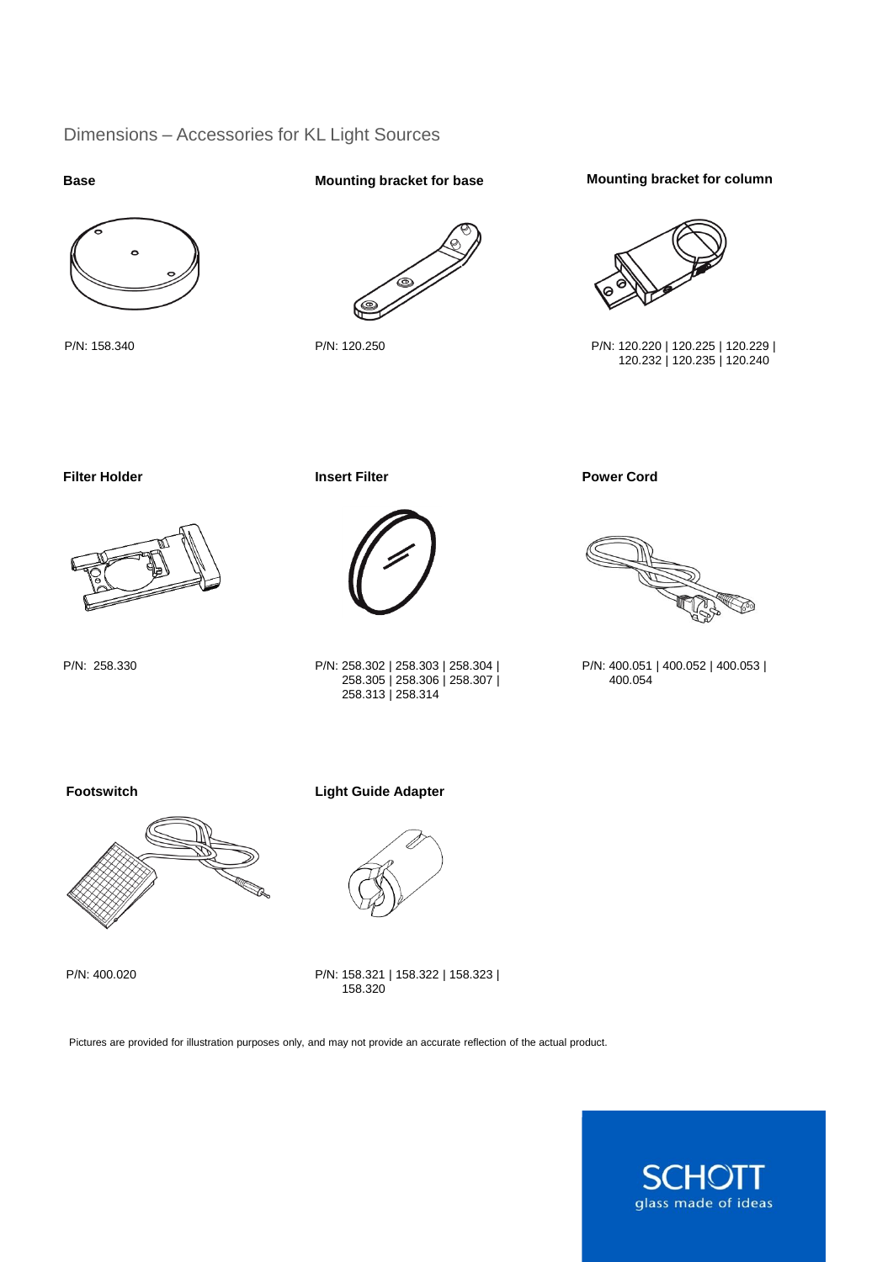# Dimensions – Accessories for KL Light Sources

#### **Base**



P/N: 158.340

**Mounting bracket for base**



P/N: 120.250

### **Mounting bracket for column**



P/N: 120.220 | 120.225 | 120.229 | 120.232 | 120.235 | 120.240

# **Filter Holder Insert Filter**



P/N: 258.330



P/N: 258.302 | 258.303 | 258.304 | 258.305 | 258.306 | 258.307 | 258.313 | 258.314

**Power Cord**



P/N: 400.051 | 400.052 | 400.053 | 400.054

**Footswitch**



P/N: 400.020

**Light Guide Adapter**



P/N: 158.321 | 158.322 | 158.323 | 158.320

Pictures are provided for illustration purposes only, and may not provide an accurate reflection of the actual product.

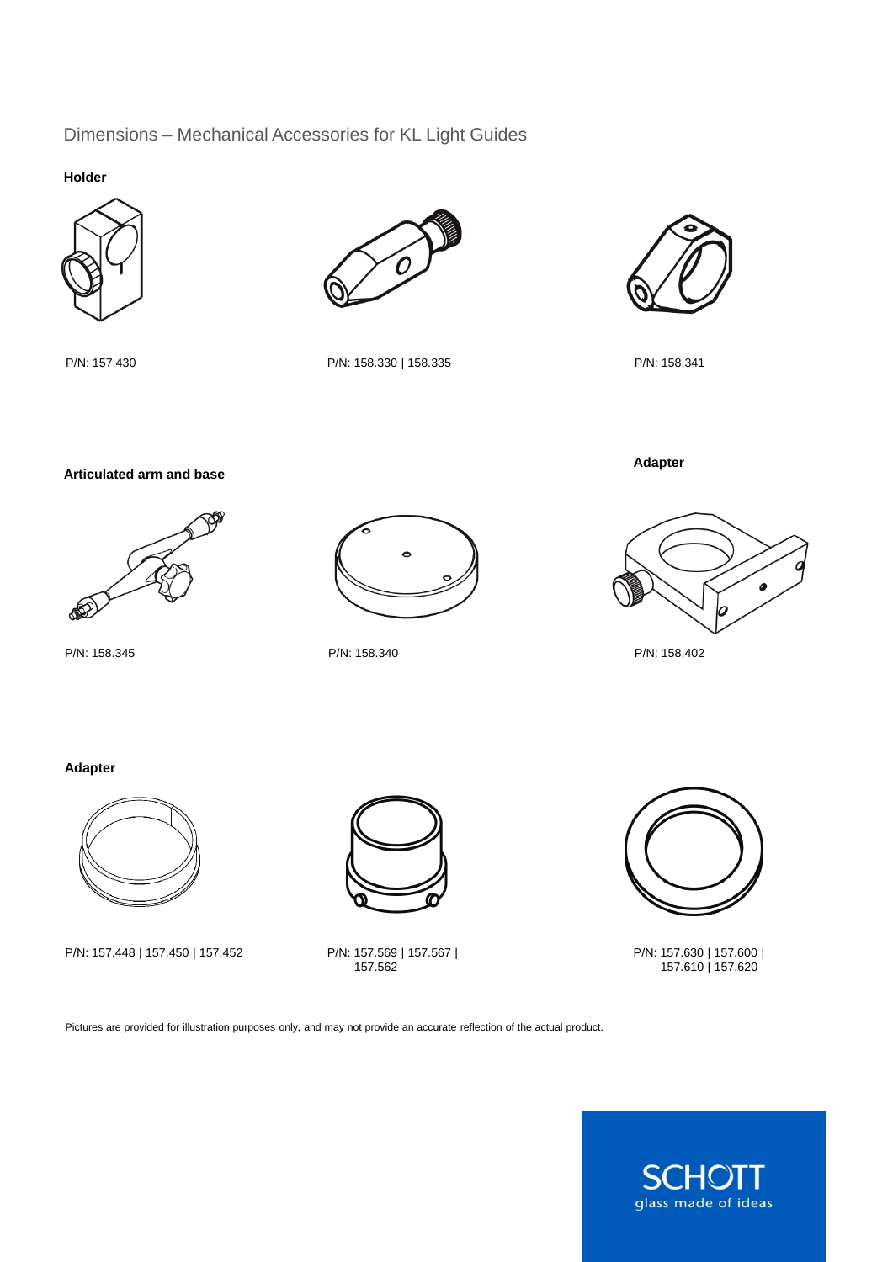# Dimensions – Mechanical Accessories for KL Light Guides

**Holder**



P/N: 157.430 P/N: 158.330 | 158.335 P/N: 158.341



**Adapter**

**Articulated arm and base**



P/N: 158.345 P/N: 158.340





P/N: 158.402

# **Adapter**



P/N: 157.448 | 157.450 | 157.452

P/N: 157.569 | 157.567 |<br>157.562



P/N: 157.630 | 157.600 | 157.610 | 157.620

Pictures are provided for illustration purposes only, and may not provide an accurate reflection of the actual product.